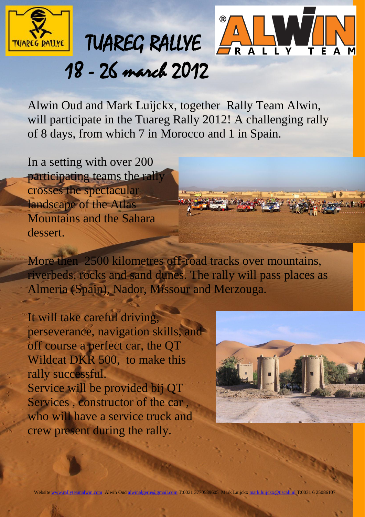



## 18 - 26 march 2012

Alwin Oud and Mark Luijckx, together Rally Team Alwin, will participate in the Tuareg Rally 2012! A challenging rally of 8 days, from which 7 in Morocco and 1 in Spain.

In a setting with over 200 participating teams the rally crosses the spectacular landscape of the Atlas Mountains and the Sahara dessert.

More then 2500 kilometres off-road tracks over mountains, riverbeds, rocks and sand dunes. The rally will pass places as Almeria (Spain), Nador, Missour and Merzouga.

It will take careful driving, perseverance, navigation skills, and off course a perfect car, the QT Wildcat DKR 500, to make this rally successful. Service will be provided bij QT Services , constructor of the car , who will have a service truck and crew present during the rally.

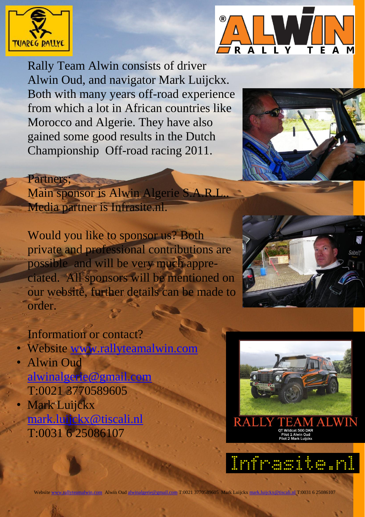

Partners;



Rally Team Alwin consists of driver Alwin Oud, and navigator Mark Luijckx. Both with many years off-road experience from which a lot in African countries like Morocco and Algerie. They have also gained some good results in the Dutch Championship Off-road racing 2011.



Main sponsor is Alwin Algerie S.A.R.I. Media partner is Infrasite.nl.

Would you like to sponsor us? Both private and professional contributions are possible and will be very much appreciated. All sponsors will be mentioned on our website, further details can be made to order.

## Information or contact?

- Website [www.rallyteamalwin.com](http://www.rallyteamalwin.com/)
- Alwin Oud [alwinalgerie@gmail.com](mailto:alwinalgerie@gmail.com) T:0021 3770589605
- **Mark Luijckx** [mark.luijckx@tiscali.nl](mailto:mark.luijckx@tiscali.nl) T:0031 6 25086107